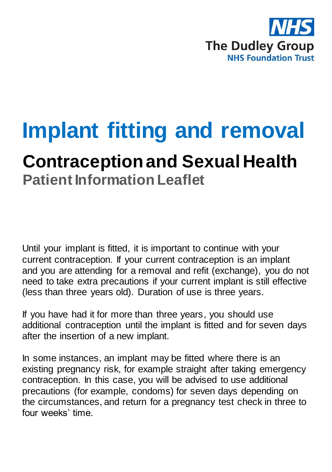

# **Implant fitting and removal**

# **Contraception and Sexual Health Patient Information Leaflet**

Until your implant is fitted, it is important to continue with your current contraception. If your current contraception is an implant and you are attending for a removal and refit (exchange), you do not need to take extra precautions if your current implant is still effective (less than three years old). Duration of use is three years.

If you have had it for more than three years, you should use additional contraception until the implant is fitted and for seven days after the insertion of a new implant.

In some instances, an implant may be fitted where there is an existing pregnancy risk, for example straight after taking emergency contraception. In this case, you will be advised to use additional precautions (for example, condoms) for seven days depending on the circumstances, and return for a pregnancy test check in three to four weeks' time.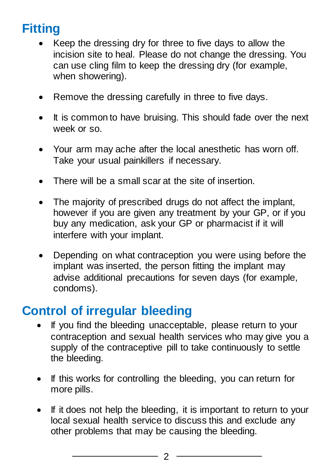## **Fitting**

- Keep the dressing dry for three to five days to allow the incision site to heal. Please do not change the dressing. You can use cling film to keep the dressing dry (for example, when showering).
- Remove the dressing carefully in three to five days.
- It is common to have bruising. This should fade over the next week or so.
- Your arm may ache after the local anesthetic has worn off. Take your usual painkillers if necessary.
- There will be a small scar at the site of insertion.
- The majority of prescribed drugs do not affect the implant, however if you are given any treatment by your GP, or if you buy any medication, ask your GP or pharmacist if it will interfere with your implant.
- Depending on what contraception you were using before the implant was inserted, the person fitting the implant may advise additional precautions for seven days (for example, condoms).

## **Control of irregular bleeding**

- If you find the bleeding unacceptable, please return to your contraception and sexual health services who may give you a supply of the contraceptive pill to take continuously to settle the bleeding.
- If this works for controlling the bleeding, you can return for more pills.
- If it does not help the bleeding, it is important to return to your local sexual health service to discuss this and exclude any other problems that may be causing the bleeding.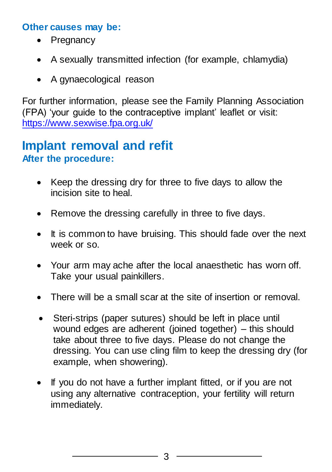### **Other causes may be:**

- Pregnancy
- A sexually transmitted infection (for example, chlamydia)
- A gynaecological reason

For further information, please see the Family Planning Association (FPA) 'your guide to the contraceptive implant' leaflet or visit: <https://www.sexwise.fpa.org.uk/>

## **Implant removal and refit After the procedure:**

- Keep the dressing dry for three to five days to allow the incision site to heal.
- Remove the dressing carefully in three to five days.
- It is common to have bruising. This should fade over the next week or so.
- Your arm may ache after the local anaesthetic has worn off. Take your usual painkillers.
- There will be a small scar at the site of insertion or removal.
- Steri-strips (paper sutures) should be left in place until wound edges are adherent (joined together) – this should take about three to five days. Please do not change the dressing. You can use cling film to keep the dressing dry (for example, when showering).
- If you do not have a further implant fitted, or if you are not using any alternative contraception, your fertility will return immediately.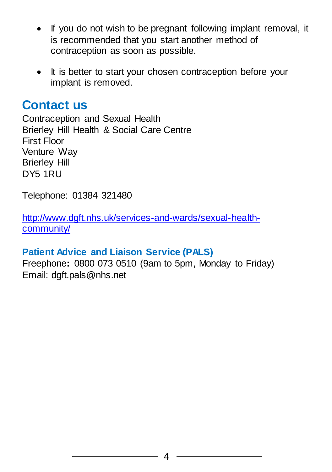- If you do not wish to be pregnant following implant removal, it is recommended that you start another method of contraception as soon as possible.
- It is better to start your chosen contraception before your implant is removed.

## **Contact us**

Contraception and Sexual Health Brierley Hill Health & Social Care Centre First Floor Venture Way Brierley Hill DY5 1RU

Telephone: 01384 321480

[http://www.dgft.nhs.uk/services-and-wards/sexual-health](http://www.dgft.nhs.uk/services-and-wards/sexual-health-community/)[community/](http://www.dgft.nhs.uk/services-and-wards/sexual-health-community/)

## **Patient Advice and Liaison Service (PALS)**

Freephone**:** 0800 073 0510 (9am to 5pm, Monday to Friday) Email: dgft.pals@nhs.net